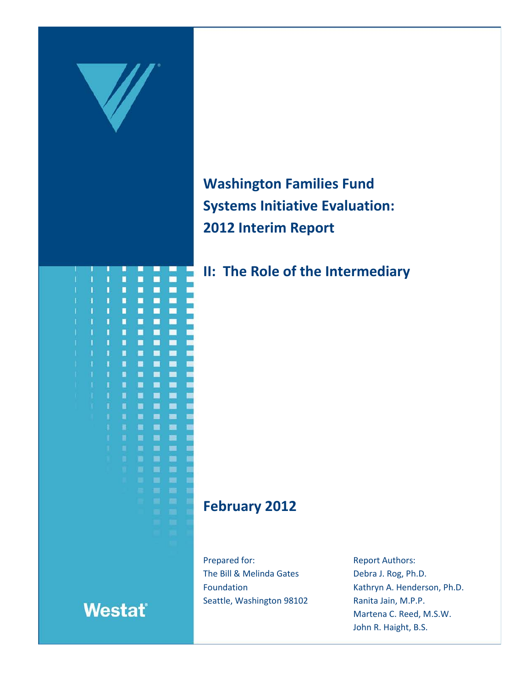

**Washington Families Fund Systems Initiative Evaluation: 2012 Interim Report**

**II: The Role of the Intermediary**

# **February 2012**

Prepared for: The Bill & Melinda Gates Foundation Seattle, Washington 98102 Report Authors: Debra J. Rog, Ph.D. Kathryn A. Henderson, Ph.D. Ranita Jain, M.P.P. Martena C. Reed, M.S.W. John R. Haight, B.S.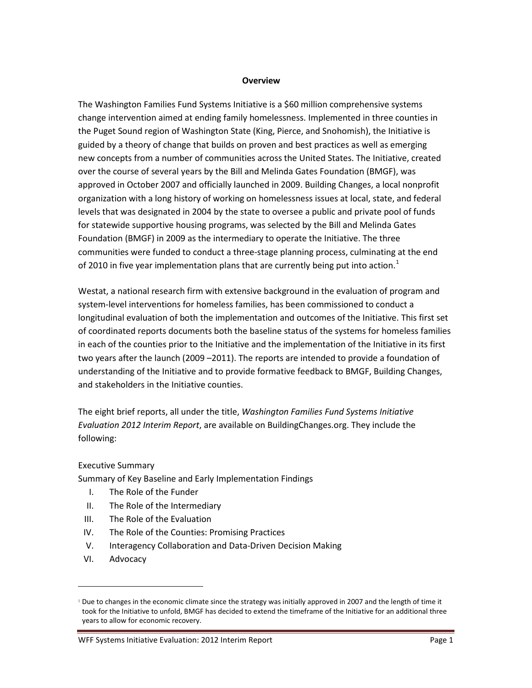#### **Overview**

The Washington Families Fund Systems Initiative is a \$60 million comprehensive systems change intervention aimed at ending family homelessness. Implemented in three counties in the Puget Sound region of Washington State (King, Pierce, and Snohomish), the Initiative is guided by a theory of change that builds on proven and best practices as well as emerging new concepts from a number of communities across the United States. The Initiative, created over the course of several years by the Bill and Melinda Gates Foundation (BMGF), was approved in October 2007 and officially launched in 2009. Building Changes, a local nonprofit organization with a long history of working on homelessness issues at local, state, and federal levels that was designated in 2004 by the state to oversee a public and private pool of funds for statewide supportive housing programs, was selected by the Bill and Melinda Gates Foundation (BMGF) in 2009 as the intermediary to operate the Initiative. The three communities were funded to conduct a three-stage planning process, culminating at the end of 20[1](#page-1-0)0 in five year implementation plans that are currently being put into action.<sup>1</sup>

Westat, a national research firm with extensive background in the evaluation of program and system-level interventions for homeless families, has been commissioned to conduct a longitudinal evaluation of both the implementation and outcomes of the Initiative. This first set of coordinated reports documents both the baseline status of the systems for homeless families in each of the counties prior to the Initiative and the implementation of the Initiative in its first two years after the launch (2009 –2011). The reports are intended to provide a foundation of understanding of the Initiative and to provide formative feedback to BMGF, Building Changes, and stakeholders in the Initiative counties.

The eight brief reports, all under the title, *Washington Families Fund Systems Initiative Evaluation 2012 Interim Report*, are available on BuildingChanges.org. They include the following:

#### Executive Summary

Summary of Key Baseline and Early Implementation Findings

- I. The Role of the Funder
- II. The Role of the Intermediary
- III. The Role of the Evaluation
- IV. The Role of the Counties: Promising Practices
- V. Interagency Collaboration and Data-Driven Decision Making
- VI. Advocacy

 $\overline{a}$ 

WFF Systems Initiative Evaluation: 2012 Interim Report **Page 1** and Page 1

<span id="page-1-0"></span><sup>&</sup>lt;sup>1</sup> Due to changes in the economic climate since the strategy was initially approved in 2007 and the length of time it took for the Initiative to unfold, BMGF has decided to extend the timeframe of the Initiative for an additional three years to allow for economic recovery.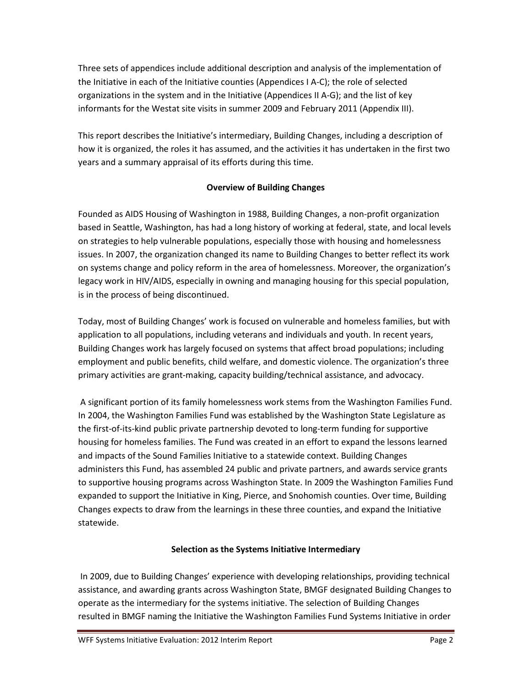Three sets of appendices include additional description and analysis of the implementation of the Initiative in each of the Initiative counties (Appendices I A-C); the role of selected organizations in the system and in the Initiative (Appendices II A-G); and the list of key informants for the Westat site visits in summer 2009 and February 2011 (Appendix III).

This report describes the Initiative's intermediary, Building Changes, including a description of how it is organized, the roles it has assumed, and the activities it has undertaken in the first two years and a summary appraisal of its efforts during this time.

# **Overview of Building Changes**

Founded as AIDS Housing of Washington in 1988, Building Changes, a non-profit organization based in Seattle, Washington, has had a long history of working at federal, state, and local levels on strategies to help vulnerable populations, especially those with housing and homelessness issues. In 2007, the organization changed its name to Building Changes to better reflect its work on systems change and policy reform in the area of homelessness. Moreover, the organization's legacy work in HIV/AIDS, especially in owning and managing housing for this special population, is in the process of being discontinued.

Today, most of Building Changes' work is focused on vulnerable and homeless families, but with application to all populations, including veterans and individuals and youth. In recent years, Building Changes work has largely focused on systems that affect broad populations; including employment and public benefits, child welfare, and domestic violence. The organization's three primary activities are grant-making, capacity building/technical assistance, and advocacy.

A significant portion of its family homelessness work stems from the Washington Families Fund. In 2004, the Washington Families Fund was established by the Washington State Legislature as the first-of-its-kind public private partnership devoted to long-term funding for supportive housing for homeless families. The Fund was created in an effort to expand the lessons learned and impacts of the Sound Families Initiative to a statewide context. Building Changes administers this Fund, has assembled 24 public and private partners, and awards service grants to supportive housing programs across Washington State. In 2009 the Washington Families Fund expanded to support the Initiative in King, Pierce, and Snohomish counties. Over time, Building Changes expects to draw from the learnings in these three counties, and expand the Initiative statewide.

# **Selection as the Systems Initiative Intermediary**

In 2009, due to Building Changes' experience with developing relationships, providing technical assistance, and awarding grants across Washington State, BMGF designated Building Changes to operate as the intermediary for the systems initiative. The selection of Building Changes resulted in BMGF naming the Initiative the Washington Families Fund Systems Initiative in order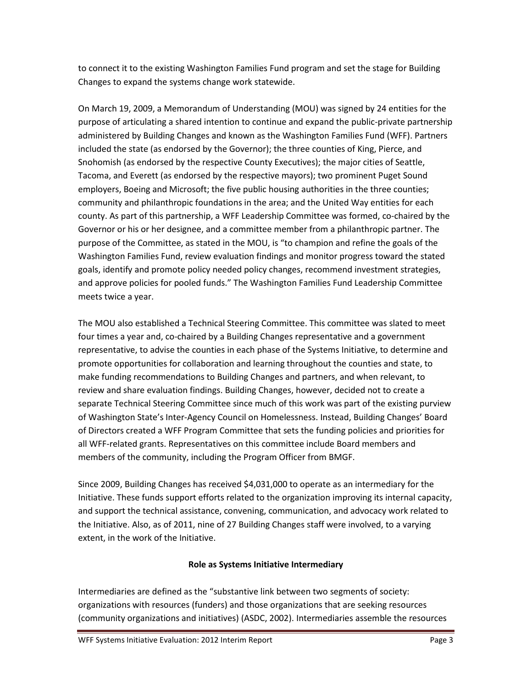to connect it to the existing Washington Families Fund program and set the stage for Building Changes to expand the systems change work statewide.

On March 19, 2009, a Memorandum of Understanding (MOU) was signed by 24 entities for the purpose of articulating a shared intention to continue and expand the public-private partnership administered by Building Changes and known as the Washington Families Fund (WFF). Partners included the state (as endorsed by the Governor); the three counties of King, Pierce, and Snohomish (as endorsed by the respective County Executives); the major cities of Seattle, Tacoma, and Everett (as endorsed by the respective mayors); two prominent Puget Sound employers, Boeing and Microsoft; the five public housing authorities in the three counties; community and philanthropic foundations in the area; and the United Way entities for each county. As part of this partnership, a WFF Leadership Committee was formed, co-chaired by the Governor or his or her designee, and a committee member from a philanthropic partner. The purpose of the Committee, as stated in the MOU, is "to champion and refine the goals of the Washington Families Fund, review evaluation findings and monitor progress toward the stated goals, identify and promote policy needed policy changes, recommend investment strategies, and approve policies for pooled funds." The Washington Families Fund Leadership Committee meets twice a year.

The MOU also established a Technical Steering Committee. This committee was slated to meet four times a year and, co-chaired by a Building Changes representative and a government representative, to advise the counties in each phase of the Systems Initiative, to determine and promote opportunities for collaboration and learning throughout the counties and state, to make funding recommendations to Building Changes and partners, and when relevant, to review and share evaluation findings. Building Changes, however, decided not to create a separate Technical Steering Committee since much of this work was part of the existing purview of Washington State's Inter-Agency Council on Homelessness. Instead, Building Changes' Board of Directors created a WFF Program Committee that sets the funding policies and priorities for all WFF-related grants. Representatives on this committee include Board members and members of the community, including the Program Officer from BMGF.

Since 2009, Building Changes has received \$4,031,000 to operate as an intermediary for the Initiative. These funds support efforts related to the organization improving its internal capacity, and support the technical assistance, convening, communication, and advocacy work related to the Initiative. Also, as of 2011, nine of 27 Building Changes staff were involved, to a varying extent, in the work of the Initiative.

# **Role as Systems Initiative Intermediary**

Intermediaries are defined as the "substantive link between two segments of society: organizations with resources (funders) and those organizations that are seeking resources (community organizations and initiatives) (ASDC, 2002). Intermediaries assemble the resources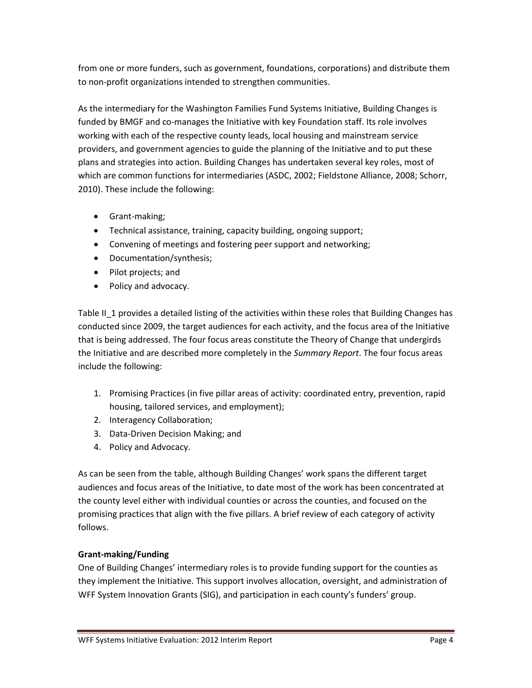from one or more funders, such as government, foundations, corporations) and distribute them to non-profit organizations intended to strengthen communities.

As the intermediary for the Washington Families Fund Systems Initiative, Building Changes is funded by BMGF and co-manages the Initiative with key Foundation staff. Its role involves working with each of the respective county leads, local housing and mainstream service providers, and government agencies to guide the planning of the Initiative and to put these plans and strategies into action. Building Changes has undertaken several key roles, most of which are common functions for intermediaries (ASDC, 2002; Fieldstone Alliance, 2008; Schorr, 2010). These include the following:

- Grant-making;
- Technical assistance, training, capacity building, ongoing support;
- Convening of meetings and fostering peer support and networking;
- Documentation/synthesis;
- Pilot projects; and
- Policy and advocacy.

Table II\_1 provides a detailed listing of the activities within these roles that Building Changes has conducted since 2009, the target audiences for each activity, and the focus area of the Initiative that is being addressed. The four focus areas constitute the Theory of Change that undergirds the Initiative and are described more completely in the *Summary Report*. The four focus areas include the following:

- 1. Promising Practices (in five pillar areas of activity: coordinated entry, prevention, rapid housing, tailored services, and employment);
- 2. Interagency Collaboration;
- 3. Data-Driven Decision Making; and
- 4. Policy and Advocacy.

As can be seen from the table, although Building Changes' work spans the different target audiences and focus areas of the Initiative, to date most of the work has been concentrated at the county level either with individual counties or across the counties, and focused on the promising practices that align with the five pillars. A brief review of each category of activity follows.

# **Grant-making/Funding**

One of Building Changes' intermediary roles is to provide funding support for the counties as they implement the Initiative. This support involves allocation, oversight, and administration of WFF System Innovation Grants (SIG), and participation in each county's funders' group.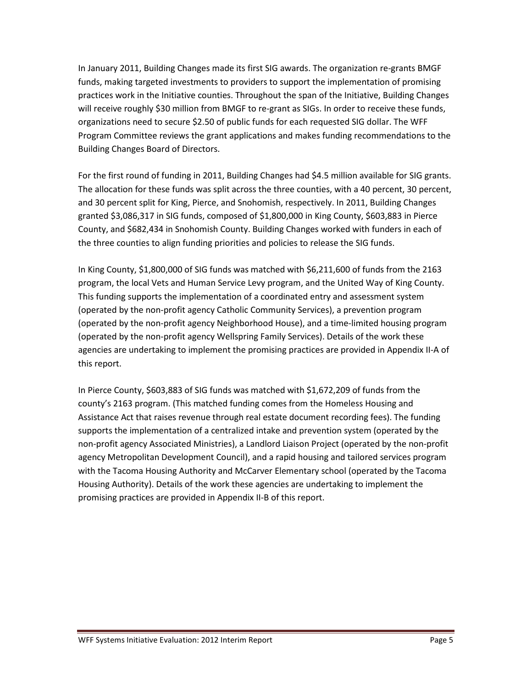In January 2011, Building Changes made its first SIG awards. The organization re-grants BMGF funds, making targeted investments to providers to support the implementation of promising practices work in the Initiative counties. Throughout the span of the Initiative, Building Changes will receive roughly \$30 million from BMGF to re-grant as SIGs. In order to receive these funds, organizations need to secure \$2.50 of public funds for each requested SIG dollar. The WFF Program Committee reviews the grant applications and makes funding recommendations to the Building Changes Board of Directors.

For the first round of funding in 2011, Building Changes had \$4.5 million available for SIG grants. The allocation for these funds was split across the three counties, with a 40 percent, 30 percent, and 30 percent split for King, Pierce, and Snohomish, respectively. In 2011, Building Changes granted \$3,086,317 in SIG funds, composed of \$1,800,000 in King County, \$603,883 in Pierce County, and \$682,434 in Snohomish County. Building Changes worked with funders in each of the three counties to align funding priorities and policies to release the SIG funds.

In King County, \$1,800,000 of SIG funds was matched with \$6,211,600 of funds from the 2163 program, the local Vets and Human Service Levy program, and the United Way of King County. This funding supports the implementation of a coordinated entry and assessment system (operated by the non-profit agency Catholic Community Services), a prevention program (operated by the non-profit agency Neighborhood House), and a time-limited housing program (operated by the non-profit agency Wellspring Family Services). Details of the work these agencies are undertaking to implement the promising practices are provided in Appendix II-A of this report.

In Pierce County, \$603,883 of SIG funds was matched with \$1,672,209 of funds from the county's 2163 program. (This matched funding comes from the Homeless Housing and Assistance Act that raises revenue through real estate document recording fees). The funding supports the implementation of a centralized intake and prevention system (operated by the non-profit agency Associated Ministries), a Landlord Liaison Project (operated by the non-profit agency Metropolitan Development Council), and a rapid housing and tailored services program with the Tacoma Housing Authority and McCarver Elementary school (operated by the Tacoma Housing Authority). Details of the work these agencies are undertaking to implement the promising practices are provided in Appendix II-B of this report.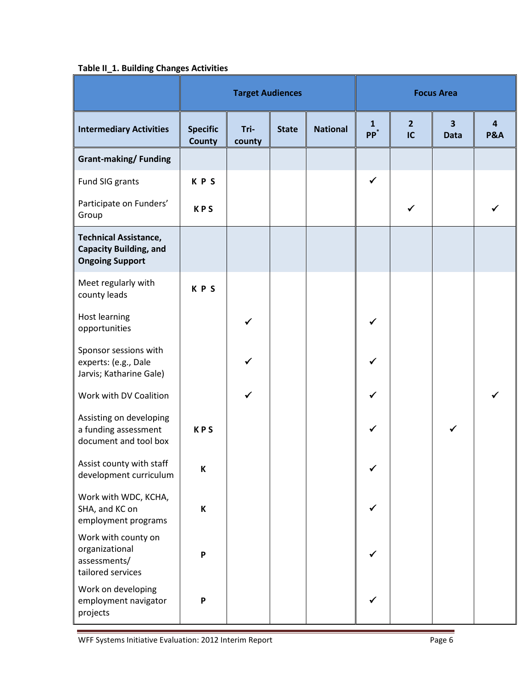# **Table II\_1. Building Changes Activities**

| rasic in_ar ballang changes neuvrales                                                   | <b>Target Audiences</b>          |                |              |                 | <b>Focus Area</b>               |                      |                                        |                     |
|-----------------------------------------------------------------------------------------|----------------------------------|----------------|--------------|-----------------|---------------------------------|----------------------|----------------------------------------|---------------------|
| <b>Intermediary Activities</b>                                                          | <b>Specific</b><br><b>County</b> | Tri-<br>county | <b>State</b> | <b>National</b> | $\mathbf{1}$<br>PP <sup>*</sup> | $\overline{2}$<br>IC | $\overline{\mathbf{3}}$<br><b>Data</b> | 4<br><b>P&amp;A</b> |
| <b>Grant-making/Funding</b>                                                             |                                  |                |              |                 |                                 |                      |                                        |                     |
| Fund SIG grants                                                                         | <b>KPS</b>                       |                |              |                 | $\checkmark$                    |                      |                                        |                     |
| Participate on Funders'<br>Group                                                        | <b>KPS</b>                       |                |              |                 |                                 |                      |                                        |                     |
| <b>Technical Assistance,</b><br><b>Capacity Building, and</b><br><b>Ongoing Support</b> |                                  |                |              |                 |                                 |                      |                                        |                     |
| Meet regularly with<br>county leads                                                     | KPS                              |                |              |                 |                                 |                      |                                        |                     |
| Host learning<br>opportunities                                                          |                                  |                |              |                 |                                 |                      |                                        |                     |
| Sponsor sessions with<br>experts: (e.g., Dale<br>Jarvis; Katharine Gale)                |                                  |                |              |                 |                                 |                      |                                        |                     |
| Work with DV Coalition                                                                  |                                  |                |              |                 |                                 |                      |                                        |                     |
| Assisting on developing<br>a funding assessment<br>document and tool box                | <b>KPS</b>                       |                |              |                 | ✓                               |                      |                                        |                     |
| Assist county with staff<br>development curriculum                                      | К                                |                |              |                 | ✔                               |                      |                                        |                     |
| Work with WDC, KCHA,<br>SHA, and KC on<br>employment programs                           | K                                |                |              |                 | $\checkmark$                    |                      |                                        |                     |
| Work with county on<br>organizational<br>assessments/<br>tailored services              | P                                |                |              |                 | ✓                               |                      |                                        |                     |
| Work on developing<br>employment navigator<br>projects                                  | P                                |                |              |                 | ✓                               |                      |                                        |                     |

WFF Systems Initiative Evaluation: 2012 Interim Report Page 6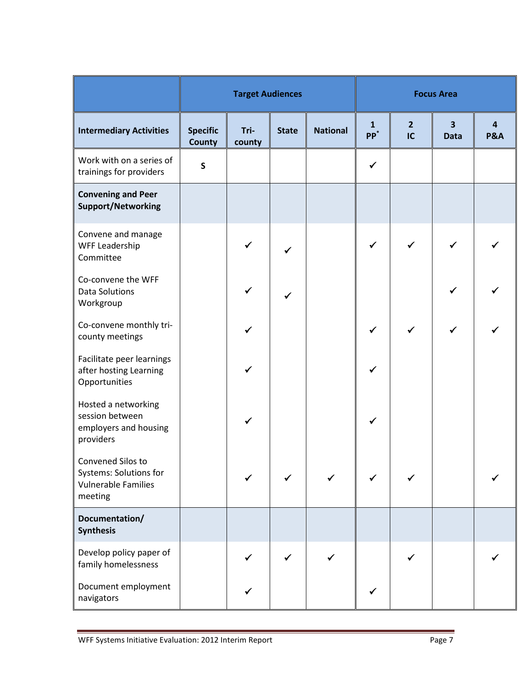|                                                                                             | <b>Target Audiences</b>          |                |              |                 | <b>Focus Area</b>      |                      |                                        |                     |
|---------------------------------------------------------------------------------------------|----------------------------------|----------------|--------------|-----------------|------------------------|----------------------|----------------------------------------|---------------------|
| <b>Intermediary Activities</b>                                                              | <b>Specific</b><br><b>County</b> | Tri-<br>county | <b>State</b> | <b>National</b> | $\mathbf{1}$<br>$PP^*$ | $\overline{2}$<br>IC | $\overline{\mathbf{3}}$<br><b>Data</b> | 4<br><b>P&amp;A</b> |
| Work with on a series of<br>trainings for providers                                         | $\mathsf{s}$                     |                |              |                 | $\checkmark$           |                      |                                        |                     |
| <b>Convening and Peer</b><br><b>Support/Networking</b>                                      |                                  |                |              |                 |                        |                      |                                        |                     |
| Convene and manage<br><b>WFF Leadership</b><br>Committee                                    |                                  | $\checkmark$   |              |                 | $\checkmark$           | $\checkmark$         | ✓                                      |                     |
| Co-convene the WFF<br><b>Data Solutions</b><br>Workgroup                                    |                                  | ✔              | ✓            |                 |                        |                      |                                        |                     |
| Co-convene monthly tri-<br>county meetings                                                  |                                  |                |              |                 | $\checkmark$           | $\checkmark$         | ✓                                      |                     |
| Facilitate peer learnings<br>after hosting Learning<br>Opportunities                        |                                  |                |              |                 | ✓                      |                      |                                        |                     |
| Hosted a networking<br>session between<br>employers and housing<br>providers                |                                  | ✓              |              |                 | ✓                      |                      |                                        |                     |
| Convened Silos to<br><b>Systems: Solutions for</b><br><b>Vulnerable Families</b><br>meeting |                                  |                |              |                 |                        |                      |                                        |                     |
| Documentation/<br><b>Synthesis</b>                                                          |                                  |                |              |                 |                        |                      |                                        |                     |
| Develop policy paper of<br>family homelessness                                              |                                  |                |              |                 |                        |                      |                                        |                     |
| Document employment<br>navigators                                                           |                                  |                |              |                 |                        |                      |                                        |                     |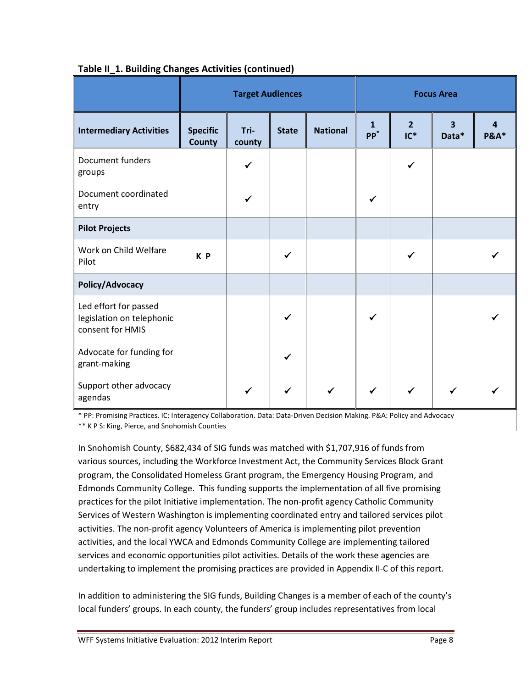|                                                                        | <b>Target Audiences</b>          |                |              |                 | <b>Focus Area</b>               |                          |                                  |                 |
|------------------------------------------------------------------------|----------------------------------|----------------|--------------|-----------------|---------------------------------|--------------------------|----------------------------------|-----------------|
| <b>Intermediary Activities</b>                                         | <b>Specific</b><br><b>County</b> | Tri-<br>county | <b>State</b> | <b>National</b> | $\mathbf{1}$<br>PP <sup>*</sup> | $\overline{2}$<br>$IC^*$ | $\overline{\mathbf{3}}$<br>Data* | <b>P&amp;A*</b> |
| Document funders<br>groups                                             |                                  |                |              |                 |                                 |                          |                                  |                 |
| Document coordinated<br>entry                                          |                                  |                |              |                 |                                 |                          |                                  |                 |
| <b>Pilot Projects</b>                                                  |                                  |                |              |                 |                                 |                          |                                  |                 |
| Work on Child Welfare<br>Pilot                                         | K P                              |                |              |                 |                                 |                          |                                  |                 |
| Policy/Advocacy                                                        |                                  |                |              |                 |                                 |                          |                                  |                 |
| Led effort for passed<br>legislation on telephonic<br>consent for HMIS |                                  |                |              |                 | ✔                               |                          |                                  |                 |
| Advocate for funding for<br>grant-making                               |                                  |                |              |                 |                                 |                          |                                  |                 |
| Support other advocacy<br>agendas                                      |                                  |                | ✓            |                 | $\checkmark$                    | $\checkmark$             |                                  |                 |

## **Table II\_1. Building Changes Activities (continued)**

\* PP: Promising Practices. IC: Interagency Collaboration. Data: Data-Driven Decision Making. P&A: Policy and Advocacy \*\* K P S: King, Pierce, and Snohomish Counties

In Snohomish County, \$682,434 of SIG funds was matched with \$1,707,916 of funds from various sources, including the Workforce Investment Act, the Community Services Block Grant program, the Consolidated Homeless Grant program, the Emergency Housing Program, and Edmonds Community College. This funding supports the implementation of all five promising practices for the pilot Initiative implementation. The non-profit agency Catholic Community Services of Western Washington is implementing coordinated entry and tailored services pilot activities. The non-profit agency Volunteers of America is implementing pilot prevention activities, and the local YWCA and Edmonds Community College are implementing tailored services and economic opportunities pilot activities. Details of the work these agencies are undertaking to implement the promising practices are provided in Appendix II-C of this report.

In addition to administering the SIG funds, Building Changes is a member of each of the county's local funders' groups. In each county, the funders' group includes representatives from local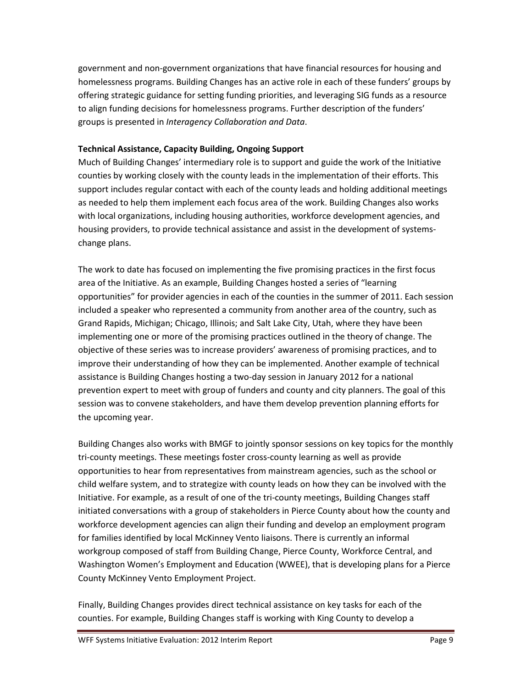government and non-government organizations that have financial resources for housing and homelessness programs. Building Changes has an active role in each of these funders' groups by offering strategic guidance for setting funding priorities, and leveraging SIG funds as a resource to align funding decisions for homelessness programs. Further description of the funders' groups is presented in *Interagency Collaboration and Data*.

#### **Technical Assistance, Capacity Building, Ongoing Support**

Much of Building Changes' intermediary role is to support and guide the work of the Initiative counties by working closely with the county leads in the implementation of their efforts. This support includes regular contact with each of the county leads and holding additional meetings as needed to help them implement each focus area of the work. Building Changes also works with local organizations, including housing authorities, workforce development agencies, and housing providers, to provide technical assistance and assist in the development of systemschange plans.

The work to date has focused on implementing the five promising practices in the first focus area of the Initiative. As an example, Building Changes hosted a series of "learning opportunities" for provider agencies in each of the counties in the summer of 2011. Each session included a speaker who represented a community from another area of the country, such as Grand Rapids, Michigan; Chicago, Illinois; and Salt Lake City, Utah, where they have been implementing one or more of the promising practices outlined in the theory of change. The objective of these series was to increase providers' awareness of promising practices, and to improve their understanding of how they can be implemented. Another example of technical assistance is Building Changes hosting a two-day session in January 2012 for a national prevention expert to meet with group of funders and county and city planners. The goal of this session was to convene stakeholders, and have them develop prevention planning efforts for the upcoming year.

Building Changes also works with BMGF to jointly sponsor sessions on key topics for the monthly tri-county meetings. These meetings foster cross-county learning as well as provide opportunities to hear from representatives from mainstream agencies, such as the school or child welfare system, and to strategize with county leads on how they can be involved with the Initiative. For example, as a result of one of the tri-county meetings, Building Changes staff initiated conversations with a group of stakeholders in Pierce County about how the county and workforce development agencies can align their funding and develop an employment program for families identified by local McKinney Vento liaisons. There is currently an informal workgroup composed of staff from Building Change, Pierce County, Workforce Central, and Washington Women's Employment and Education (WWEE), that is developing plans for a Pierce County McKinney Vento Employment Project.

Finally, Building Changes provides direct technical assistance on key tasks for each of the counties. For example, Building Changes staff is working with King County to develop a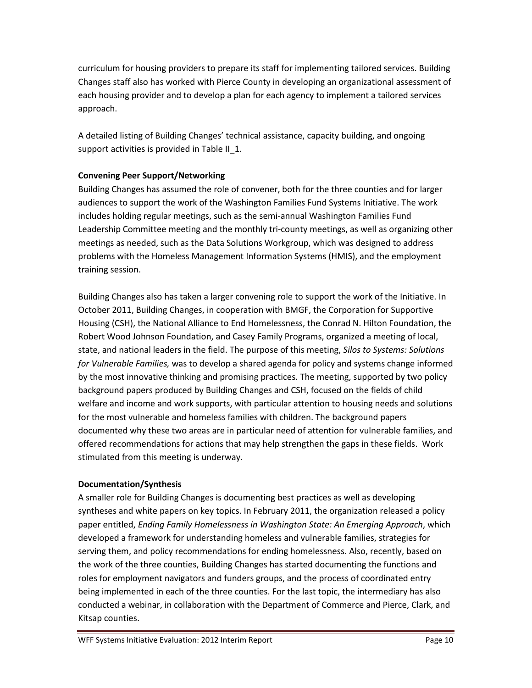curriculum for housing providers to prepare its staff for implementing tailored services. Building Changes staff also has worked with Pierce County in developing an organizational assessment of each housing provider and to develop a plan for each agency to implement a tailored services approach.

A detailed listing of Building Changes' technical assistance, capacity building, and ongoing support activities is provided in Table II\_1.

## **Convening Peer Support/Networking**

Building Changes has assumed the role of convener, both for the three counties and for larger audiences to support the work of the Washington Families Fund Systems Initiative. The work includes holding regular meetings, such as the semi-annual Washington Families Fund Leadership Committee meeting and the monthly tri-county meetings, as well as organizing other meetings as needed, such as the Data Solutions Workgroup, which was designed to address problems with the Homeless Management Information Systems (HMIS), and the employment training session.

Building Changes also has taken a larger convening role to support the work of the Initiative. In October 2011, Building Changes, in cooperation with BMGF, the Corporation for Supportive Housing (CSH), the National Alliance to End Homelessness, the Conrad N. Hilton Foundation, the Robert Wood Johnson Foundation, and Casey Family Programs, organized a meeting of local, state, and national leaders in the field. The purpose of this meeting, *Silos to Systems: Solutions for Vulnerable Families,* was to develop a shared agenda for policy and systems change informed by the most innovative thinking and promising practices. The meeting, supported by two policy background papers produced by Building Changes and CSH, focused on the fields of child welfare and income and work supports, with particular attention to housing needs and solutions for the most vulnerable and homeless families with children. The background papers documented why these two areas are in particular need of attention for vulnerable families, and offered recommendations for actions that may help strengthen the gaps in these fields. Work stimulated from this meeting is underway.

#### **Documentation/Synthesis**

A smaller role for Building Changes is documenting best practices as well as developing syntheses and white papers on key topics. In February 2011, the organization released a policy paper entitled, *Ending Family Homelessness in Washington State: An Emerging Approach*, which developed a framework for understanding homeless and vulnerable families, strategies for serving them, and policy recommendations for ending homelessness. Also, recently, based on the work of the three counties, Building Changes has started documenting the functions and roles for employment navigators and funders groups, and the process of coordinated entry being implemented in each of the three counties. For the last topic, the intermediary has also conducted a webinar, in collaboration with the Department of Commerce and Pierce, Clark, and Kitsap counties.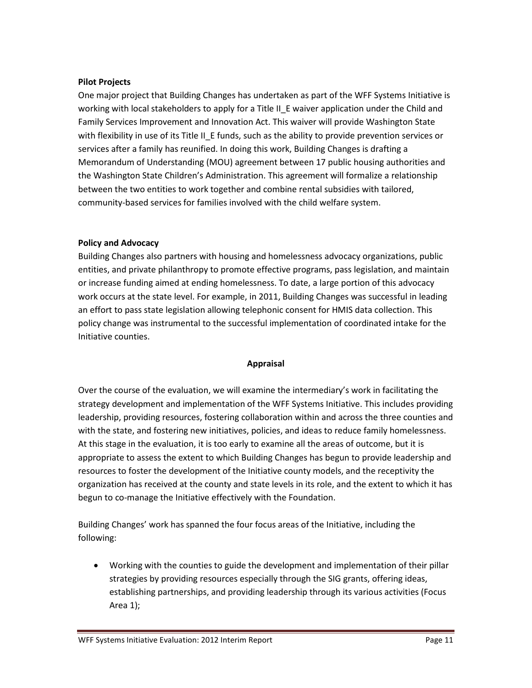#### **Pilot Projects**

One major project that Building Changes has undertaken as part of the WFF Systems Initiative is working with local stakeholders to apply for a Title II\_E waiver application under the Child and Family Services Improvement and Innovation Act. This waiver will provide Washington State with flexibility in use of its Title II E funds, such as the ability to provide prevention services or services after a family has reunified. In doing this work, Building Changes is drafting a Memorandum of Understanding (MOU) agreement between 17 public housing authorities and the Washington State Children's Administration. This agreement will formalize a relationship between the two entities to work together and combine rental subsidies with tailored, community-based services for families involved with the child welfare system.

#### **Policy and Advocacy**

Building Changes also partners with housing and homelessness advocacy organizations, public entities, and private philanthropy to promote effective programs, pass legislation, and maintain or increase funding aimed at ending homelessness. To date, a large portion of this advocacy work occurs at the state level. For example, in 2011, Building Changes was successful in leading an effort to pass state legislation allowing telephonic consent for HMIS data collection. This policy change was instrumental to the successful implementation of coordinated intake for the Initiative counties.

#### **Appraisal**

Over the course of the evaluation, we will examine the intermediary's work in facilitating the strategy development and implementation of the WFF Systems Initiative. This includes providing leadership, providing resources, fostering collaboration within and across the three counties and with the state, and fostering new initiatives, policies, and ideas to reduce family homelessness. At this stage in the evaluation, it is too early to examine all the areas of outcome, but it is appropriate to assess the extent to which Building Changes has begun to provide leadership and resources to foster the development of the Initiative county models, and the receptivity the organization has received at the county and state levels in its role, and the extent to which it has begun to co-manage the Initiative effectively with the Foundation.

Building Changes' work has spanned the four focus areas of the Initiative, including the following:

• Working with the counties to guide the development and implementation of their pillar strategies by providing resources especially through the SIG grants, offering ideas, establishing partnerships, and providing leadership through its various activities (Focus Area 1);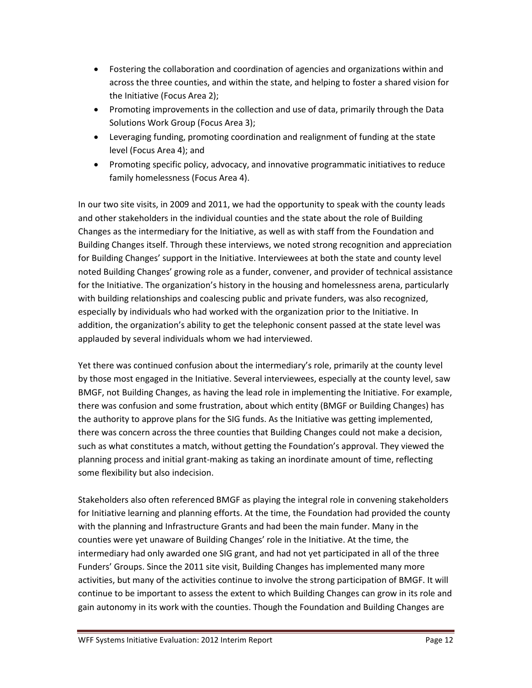- Fostering the collaboration and coordination of agencies and organizations within and across the three counties, and within the state, and helping to foster a shared vision for the Initiative (Focus Area 2);
- Promoting improvements in the collection and use of data, primarily through the Data Solutions Work Group (Focus Area 3);
- Leveraging funding, promoting coordination and realignment of funding at the state level (Focus Area 4); and
- Promoting specific policy, advocacy, and innovative programmatic initiatives to reduce family homelessness (Focus Area 4).

In our two site visits, in 2009 and 2011, we had the opportunity to speak with the county leads and other stakeholders in the individual counties and the state about the role of Building Changes as the intermediary for the Initiative, as well as with staff from the Foundation and Building Changes itself. Through these interviews, we noted strong recognition and appreciation for Building Changes' support in the Initiative. Interviewees at both the state and county level noted Building Changes' growing role as a funder, convener, and provider of technical assistance for the Initiative. The organization's history in the housing and homelessness arena, particularly with building relationships and coalescing public and private funders, was also recognized, especially by individuals who had worked with the organization prior to the Initiative. In addition, the organization's ability to get the telephonic consent passed at the state level was applauded by several individuals whom we had interviewed.

Yet there was continued confusion about the intermediary's role, primarily at the county level by those most engaged in the Initiative. Several interviewees, especially at the county level, saw BMGF, not Building Changes, as having the lead role in implementing the Initiative. For example, there was confusion and some frustration, about which entity (BMGF or Building Changes) has the authority to approve plans for the SIG funds. As the Initiative was getting implemented, there was concern across the three counties that Building Changes could not make a decision, such as what constitutes a match, without getting the Foundation's approval. They viewed the planning process and initial grant-making as taking an inordinate amount of time, reflecting some flexibility but also indecision.

Stakeholders also often referenced BMGF as playing the integral role in convening stakeholders for Initiative learning and planning efforts. At the time, the Foundation had provided the county with the planning and Infrastructure Grants and had been the main funder. Many in the counties were yet unaware of Building Changes' role in the Initiative. At the time, the intermediary had only awarded one SIG grant, and had not yet participated in all of the three Funders' Groups. Since the 2011 site visit, Building Changes has implemented many more activities, but many of the activities continue to involve the strong participation of BMGF. It will continue to be important to assess the extent to which Building Changes can grow in its role and gain autonomy in its work with the counties. Though the Foundation and Building Changes are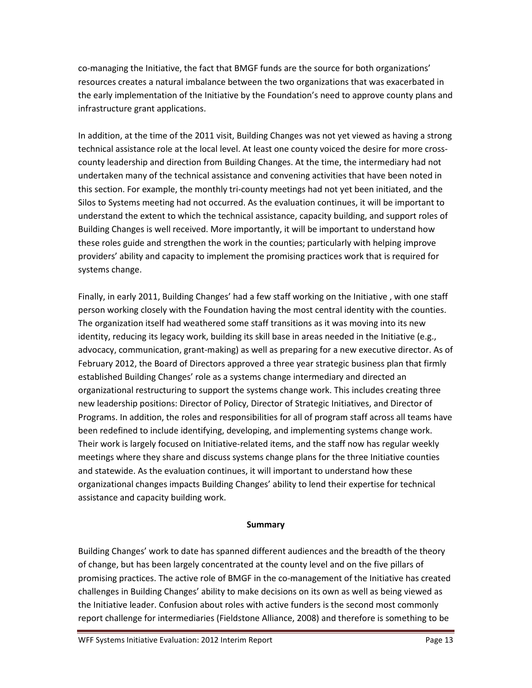co-managing the Initiative, the fact that BMGF funds are the source for both organizations' resources creates a natural imbalance between the two organizations that was exacerbated in the early implementation of the Initiative by the Foundation's need to approve county plans and infrastructure grant applications.

In addition, at the time of the 2011 visit, Building Changes was not yet viewed as having a strong technical assistance role at the local level. At least one county voiced the desire for more crosscounty leadership and direction from Building Changes. At the time, the intermediary had not undertaken many of the technical assistance and convening activities that have been noted in this section. For example, the monthly tri-county meetings had not yet been initiated, and the Silos to Systems meeting had not occurred. As the evaluation continues, it will be important to understand the extent to which the technical assistance, capacity building, and support roles of Building Changes is well received. More importantly, it will be important to understand how these roles guide and strengthen the work in the counties; particularly with helping improve providers' ability and capacity to implement the promising practices work that is required for systems change.

Finally, in early 2011, Building Changes' had a few staff working on the Initiative , with one staff person working closely with the Foundation having the most central identity with the counties. The organization itself had weathered some staff transitions as it was moving into its new identity, reducing its legacy work, building its skill base in areas needed in the Initiative (e.g., advocacy, communication, grant-making) as well as preparing for a new executive director. As of February 2012, the Board of Directors approved a three year strategic business plan that firmly established Building Changes' role as a systems change intermediary and directed an organizational restructuring to support the systems change work. This includes creating three new leadership positions: Director of Policy, Director of Strategic Initiatives, and Director of Programs. In addition, the roles and responsibilities for all of program staff across all teams have been redefined to include identifying, developing, and implementing systems change work. Their work is largely focused on Initiative-related items, and the staff now has regular weekly meetings where they share and discuss systems change plans for the three Initiative counties and statewide. As the evaluation continues, it will important to understand how these organizational changes impacts Building Changes' ability to lend their expertise for technical assistance and capacity building work.

#### **Summary**

Building Changes' work to date has spanned different audiences and the breadth of the theory of change, but has been largely concentrated at the county level and on the five pillars of promising practices. The active role of BMGF in the co-management of the Initiative has created challenges in Building Changes' ability to make decisions on its own as well as being viewed as the Initiative leader. Confusion about roles with active funders is the second most commonly report challenge for intermediaries (Fieldstone Alliance, 2008) and therefore is something to be